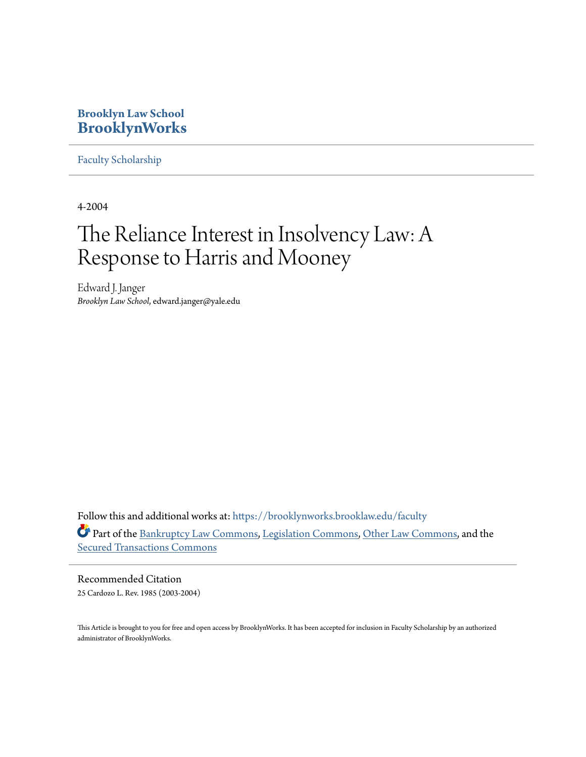## **Brooklyn Law School [BrooklynWorks](https://brooklynworks.brooklaw.edu?utm_source=brooklynworks.brooklaw.edu%2Ffaculty%2F654&utm_medium=PDF&utm_campaign=PDFCoverPages)**

[Faculty Scholarship](https://brooklynworks.brooklaw.edu/faculty?utm_source=brooklynworks.brooklaw.edu%2Ffaculty%2F654&utm_medium=PDF&utm_campaign=PDFCoverPages)

4-2004

# The Reliance Interest in Insolvency Law: A Response to Harris and Mooney

Edward J. Janger *Brooklyn Law School*, edward.janger@yale.edu

Follow this and additional works at: [https://brooklynworks.brooklaw.edu/faculty](https://brooklynworks.brooklaw.edu/faculty?utm_source=brooklynworks.brooklaw.edu%2Ffaculty%2F654&utm_medium=PDF&utm_campaign=PDFCoverPages) Part of the [Bankruptcy Law Commons,](http://network.bepress.com/hgg/discipline/583?utm_source=brooklynworks.brooklaw.edu%2Ffaculty%2F654&utm_medium=PDF&utm_campaign=PDFCoverPages) [Legislation Commons](http://network.bepress.com/hgg/discipline/859?utm_source=brooklynworks.brooklaw.edu%2Ffaculty%2F654&utm_medium=PDF&utm_campaign=PDFCoverPages), [Other Law Commons,](http://network.bepress.com/hgg/discipline/621?utm_source=brooklynworks.brooklaw.edu%2Ffaculty%2F654&utm_medium=PDF&utm_campaign=PDFCoverPages) and the [Secured Transactions Commons](http://network.bepress.com/hgg/discipline/876?utm_source=brooklynworks.brooklaw.edu%2Ffaculty%2F654&utm_medium=PDF&utm_campaign=PDFCoverPages)

Recommended Citation 25 Cardozo L. Rev. 1985 (2003-2004)

This Article is brought to you for free and open access by BrooklynWorks. It has been accepted for inclusion in Faculty Scholarship by an authorized administrator of BrooklynWorks.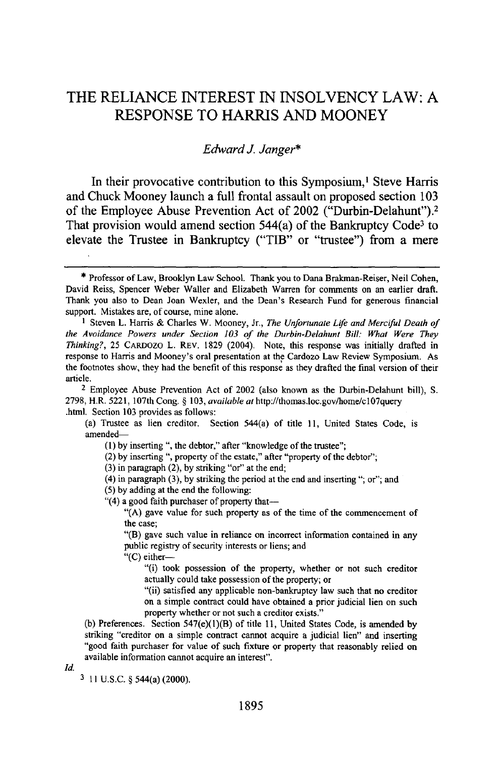## THE **RELIANCE INTEREST IN INSOLVENCY** LAW: **A RESPONSE** TO HARRIS **AND** MOONEY

### *Edward J. Janger\**

In their provocative contribution to this Symposium,<sup>1</sup> Steve Harris and Chuck Mooney launch a full frontal assault on proposed section **103** of the Employee Abuse Prevention Act of 2002 ("Durbin-Delahunt").<sup>2</sup> That provision would amend section  $544(a)$  of the Bankruptcy Code<sup>3</sup> to elevate the Trustee in Bankruptcy ("TIB" or "trustee") from a mere

**I** Steven L. Harris & Charles W. Mooney, Jr., *The Unfortunate Life and Merciful Death of* the Avoidance Powers under Section **103** of the Durbin-Delahunt Bill: What Were They *Thinking?,* **25** CARDOZO L. REV. **1829** (2004). Note, this response was initially drafted in response to Harris and Mooney's oral presentation at the Cardozo Law Review Symposium. As the footnotes show, they had the benefit of this response as they drafted the final version of their article.

2 Employee Abuse Prevention Act of 2002 (also known as the Durbin-Delahunt bill), **S. 2798,** H.R. **5221,** 107th Cong. § **103,** *available* at http:/thomas.loc.gov/home/cl07query .html. Section **103** provides as follows:

(a) Trustee as lien creditor. Section 544(a) of title **11,** United States Code, is amended-

(1) by inserting ", the debtor," after "knowledge of the trustee";

(2) by inserting **",** property of the estate," after "property of the debtor";

(3) in paragraph (2), by striking "or" at the end;

(4) in paragraph (3), **by** striking the period at the end and inserting "; or"; and

(5) by adding at the end the following:

"(4) a good faith purchaser of property that-

"(A) gave value for such property as of the time of the commencement of the case;

"(B) gave such value in reliance on incorrect information contained in any public registry of security interests or liens; and

"(C) either-

"(i) took possession of the property, whether or not such creditor actually could take possession of the property; or

"(ii) satisfied any applicable non-bankruptcy law such that no creditor on a simple contract could have obtained a prior judicial lien on such property whether or not such a creditor exists."

(b) Preferences. Section 547(e)(l)(B) of title 11, United States Code, is amended by striking "creditor on a simple contract cannot acquire a judicial lien" and inserting "good faith purchaser for value of such fixture or property that reasonably relied on available information cannot acquire an interest".

*Id.*

**3** 11 **U.S.C.** § 544(a) (2000).

<sup>\*</sup> Professor of Law, Brooklyn Law School. Thank you to Dana Brakman-Reiser, Neil Cohen, David Reiss, Spencer Weber Waller and Elizabeth Warren for comments on an earlier draft. Thank you also to Dean Joan Wexler, and the Dean's Research Fund for generous financial support. Mistakes are, of course, mine alone.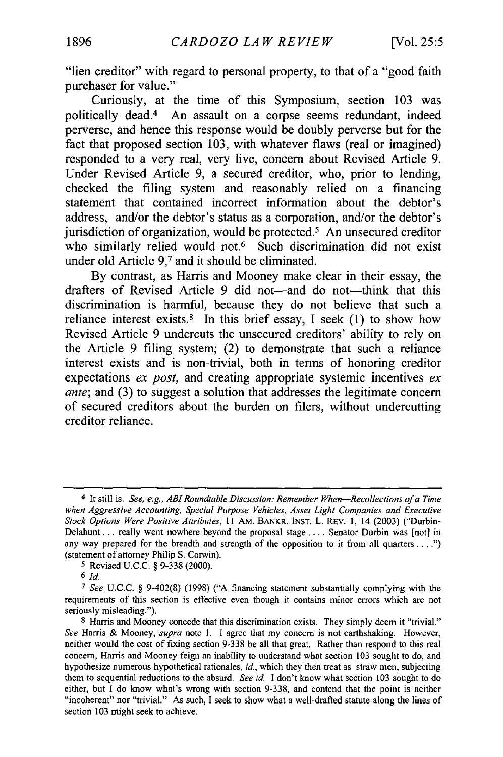"lien creditor" with regard to personal property, to that of a "good faith purchaser for value."

Curiously, at the time of this Symposium, section **103** was politically dead.4 An assault on a corpse seems redundant, indeed perverse, and hence this response would be doubly perverse but for the fact that proposed section **103,** with whatever flaws (real or imagined) responded to a very real, very live, concern about Revised Article **9.** Under Revised Article **9,** a secured creditor, who, prior to lending, checked the filing system and reasonably relied on a financing statement that contained incorrect information about the debtor's address, and/or the debtor's status as a corporation, and/or the debtor's jurisdiction of organization, would be protected.<sup>5</sup> An unsecured creditor who similarly relied would not.<sup>6</sup> Such discrimination did not exist under old Article **9,7** and it should be eliminated.

**By** contrast, as Harris and Mooney make clear in their essay, the drafters of Revised Article 9 did not-and do not-think that this discrimination is harmful, because they do not believe that such a reliance interest exists.8 In this brief essay, **I** seek **(1)** to show how Revised Article **9** undercuts the unsecured creditors' ability to rely on the Article **9** filing system; (2) to demonstrate that such a reliance interest exists and is non-trivial, both in terms of honoring creditor expectations *ex post,* and creating appropriate systemic incentives *ex ante;* and **(3)** to suggest a solution that addresses the legitimate concern of secured creditors about the burden on filers, without undercutting creditor reliance.

**5** Revised U.C.C. § 9-338 (2000).

*6* **Id.**

<sup>4</sup> It still is. *See, e.g., ABIRoundtable Discussion: Remember When-Recollections of a Time when Aggressive Accounting, Special Purpose Vehicles, Asset Light Companies and Executive Stock Options Were Positive Attributes, I* I AM. BANKR. INST. L. REV. 1, 14 (2003) ("Durbin-Delahunt... really went nowhere beyond the proposal stage .... Senator Durbin was [not] in any way prepared for the breadth and strength of the opposition to it from all quarters ... .") (statement of attorney Philip **S.** Corwin).

*<sup>7</sup>* See U.C.C. § 9-402(8) (1998) ("A financing statement substantially complying with the requirements of this section is effective even though it contains minor errors which are not seriously misleading.").

<sup>8</sup> Harris and Mooney concede that this discrimination exists. They simply deem it "trivial." *See* Harris & Mooney, *supra* note **1.** I agree that my concern is not earthshaking. However, neither would the cost of fixing section 9-338 be all that great. Rather than respond to this real concern, Harris and Mooney feign an inability to understand what section 103 sought to do, and hypothesize numerous hypothetical rationales, *id,* which they then treat as straw men, subjecting them to sequential reductions to the absurd. *See id.* I don't know what section 103 sought to do either, but I do know what's wrong with section 9-338, and contend that the point is neither "incoherent" nor "trivial." As such, I seek to show what a well-drafted statute along the lines of section 103 might seek to achieve.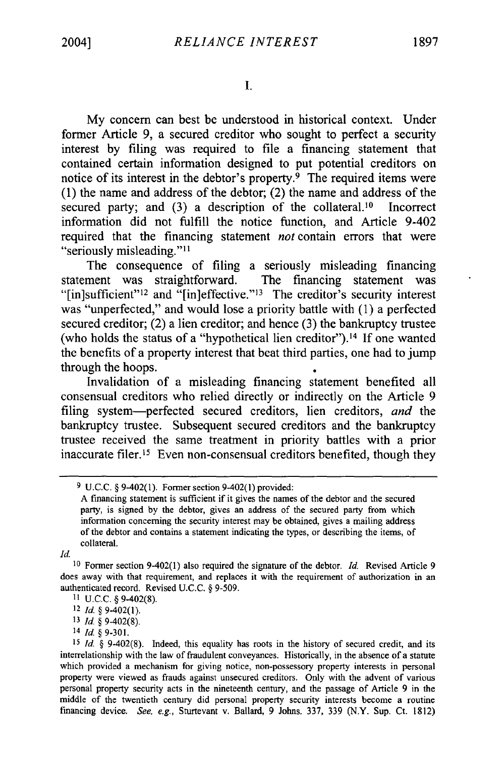**1.**

My concern can best be understood in historical context. Under former Article 9, a secured creditor who sought to perfect a security interest by filing was required to file a financing statement that contained certain information designed to put potential creditors on notice of its interest in the debtor's property. $9$  The required items were (1) the name and address of the debtor; (2) the name and address of the secured party; and  $(3)$  a description of the collateral.<sup>10</sup> Incorrect information did not fulfill the notice function, and Article 9-402 required that the financing statement *not* contain errors that were "seriously misleading." $11$ 

The consequence of filing a seriously misleading financing statement was straightforward. The financing statement was " $[$ in]sufficient"<sup>12</sup> and " $[$ in]effective."<sup>13</sup> The creditor's security interest was "unperfected," and would lose a priority battle with (1) a perfected secured creditor; (2) a lien creditor; and hence (3) the bankruptcy trustee (who holds the status of a "hypothetical lien creditor").<sup>14</sup> If one wanted the benefits of a property interest that beat third parties, one had to jump through the hoops.

Invalidation of a misleading financing statement benefited all consensual creditors who relied directly or indirectly on the Article 9 filing system-perfected secured creditors, lien creditors, *and* the bankruptcy trustee. Subsequent secured creditors and the bankruptcy trustee received the same treatment in priority battles with a prior inaccurate filer.<sup>15</sup> Even non-consensual creditors benefited, though they

*Id*

<sup>14</sup>Id. *§* 9-301.

**<sup>9</sup>** U.C.C. § 9402(1). Former section 9402(1) provided:

A financing statement is sufficient if it gives the names of the debtor and the secured party, is signed by the debtor, gives an address of the secured party from which information concerning the security interest may be obtained, gives a mailing address of the debtor and contains a statement indicating the types, or describing the items, of collateral.

**<sup>10</sup>**Former section 9402(1) also required the signature of the debtor. *Id.* Revised Article 9 does away with that requirement, and replaces it with the requirement of authorization in an authenticated record. Revised U.C.C. § 9-509.

**<sup>11</sup>** U.C.C. § 9-402(8).

<sup>12</sup>*Id. §* 9-402(1).

**<sup>13</sup>**Id. *§* 9-402(8).

**<sup>15</sup>**Id. *§* 9-402(8). Indeed, this equality has roots in the history of secured credit, and its interrelationship with the law of fraudulent conveyances. Historically, in the absence of a statute which provided a mechanism for giving notice, non-possessory property interests in personal property were viewed as frauds against unsecured creditors. Only with the advent of various personal property security acts in the nineteenth century, and the passage of Article 9 in the middle of the twentieth century did personal property security interests become a routine financing device. *See,* e.g., Sturtevant v. Ballard, 9 Johns. 337, 339 (N.Y. Sup. Ct. 1812)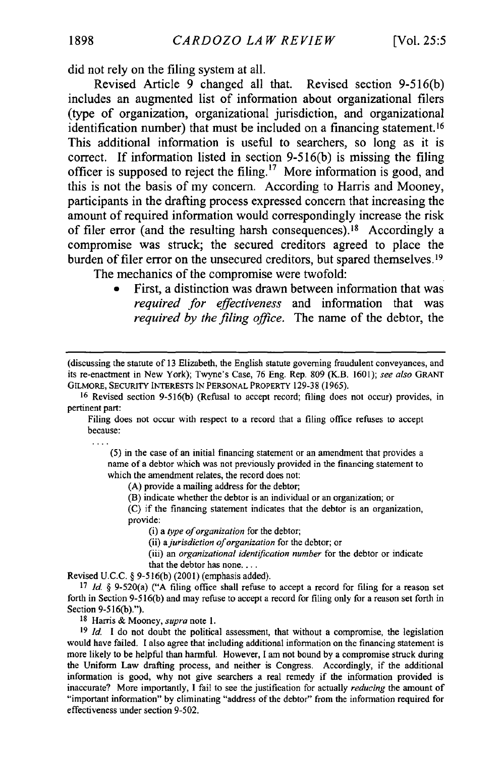did not rely on the filing system at all.

Revised Article **9** changed all that. Revised section **9-516(b)** includes an augmented list of information about organizational filers (type of organization, organizational jurisdiction, and organizational identification number) that must be included on a financing statement. <sup>16</sup> This additional information is useful to searchers, so long as it is correct. **If** information listed in section **9-516(b)** is missing the filing officer is supposed to reject the filing.'7 More information is good, and this is not the basis of my concern. According to Harris and Mooney, participants in the drafting process expressed concern that increasing the amount of required information would correspondingly increase the risk of filer error (and the resulting harsh consequences).<sup>18</sup> Accordingly a compromise was struck; the secured creditors agreed to place the burden of filer error on the unsecured creditors, but spared themselves.<sup>19</sup>

The mechanics of the compromise were twofold:

**0** First, a distinction was drawn between information that was *required for effectiveness* and information that was *required by the filing office.* The name of the debtor, the

Filing does not occur with respect to a record that a filing office refuses to accept because:

(5) in the case of an initial financing statement or an amendment that provides a name of a debtor which was not previously provided in the financing statement to which the amendment relates, the record does not:

(A) provide a mailing address for the debtor;

(B) indicate whether the debtor is an individual or an organization; or

(C) if the financing statement indicates that the debtor is an organization, provide:

(i) a *type of organization* for the debtor;

(ii) *a jurisdiction of organization* for the debtor; or

(iii) an *organizational identification number* for the debtor or indicate that the debtor has none....

Revised U.C.C. § 9-516(b) (2001) (emphasis added).

<sup>17</sup>*Id.* § 9-520(a) ("A filing office shall refuse to accept a record for filing for a reason set forth in Section 9-516(b) and may refuse to accept a record for filing only for a reason set forth in Section 9-516(b).").

18 Harris & Mooney, *supra* note 1.

<sup>19</sup> *Id.* I do not doubt the political assessment, that without a compromise, the legislation would have failed. I also agree that including additional information on the financing statement is more likely to be helpful than harmful. However, I am not bound by a compromise struck during the Uniform Law drafting process, and neither is Congress. Accordingly, if the additional information is good, why not give searchers a real remedy if the information provided is inaccurate? More importantly, I fail to see the justification for actually *reducing* the amount of "important information" by eliminating "address of the debtor" from the information required for effectiveness under section 9-502.

<sup>(</sup>discussing the statute of 13 Elizabeth, the English statute governing fraudulent conveyances, and its re-enactment in New York); Twyne's Case, 76 Eng. Rep. 809 (K.B. 1601); *see also* GRANT GILMORE, SECURIY INTERESTS IN PERSONAL PROPERTY 129-38 (1965).

<sup>16</sup> Revised section 9-516(b) (Refusal to accept record; filing does not occur) provides, in pertinent part: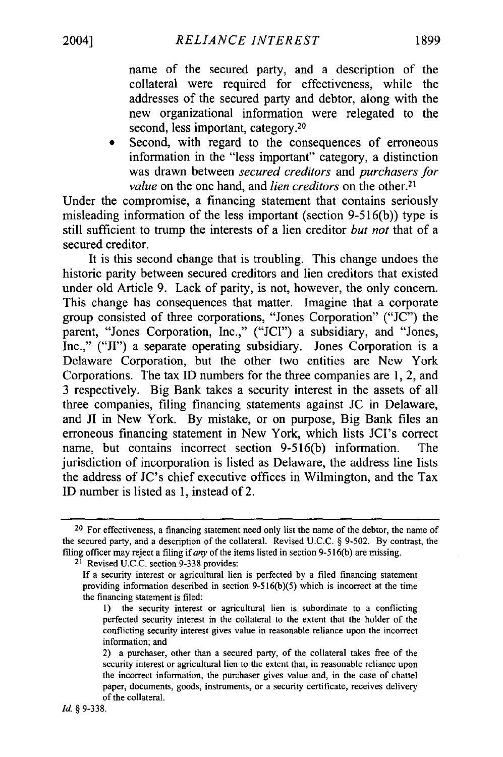name of the secured party, and a description of the collateral were required for effectiveness, while the addresses of the secured party and debtor, along with the new organizational information were relegated to the second, less important, category.<sup>20</sup>

Second, with regard to the consequences of erroneous information in the "less important" category, a distinction was drawn between *secured creditors* and *purchasers for value* on the one hand, and *lien creditors* on the other.<sup>21</sup>

Under the compromise, a financing statement that contains seriously misleading information of the less important (section 9-516(b)) type is still sufficient to trump the interests of a lien creditor *but not* that of a secured creditor.

It is this second change that is troubling. This change undoes the historic parity between secured creditors and lien creditors that existed under old Article 9. Lack of parity, is not, however, the only concern. This change has consequences that matter. Imagine that a corporate group consisted of three corporations, "Jones Corporation" ("JC") the parent, "Jones Corporation, Inc.," ("JCI") a subsidiary, and "Jones, Inc.," ("JI") a separate operating subsidiary. Jones Corporation is a Delaware Corporation, but the other two entities are New York Corporations. The tax ID numbers for the three companies are 1, 2, and 3 respectively. Big Bank takes a security interest in the assets of all three companies, filing financing statements against JC in Delaware, and JI in New York. By mistake, or on purpose, Big Bank files an erroneous financing statement in New York, which lists JCI's correct name, but contains incorrect section 9-516(b) information. The jurisdiction of incorporation is listed as Delaware, the address line lists the address of JC's chief executive offices in Wilmington, and the Tax ID number is listed as 1, instead of 2.

21 Revised U.C.C. section 9-338 provides:

<sup>&</sup>lt;sup>20</sup> For effectiveness, a financing statement need only list the name of the debtor, the name of the secured party, and a description of the collateral. Revised U.C.C. § 9-502. By contrast, the filing officer may reject a filing *if any* of the items listed in section 9-516(b) are missing.

If a security interest or agricultural lien is perfected by a filed financing statement providing information described in section 9-516(b)(5) which is incorrect at the time the financing statement is filed:

<sup>1)</sup> the security interest or agricultural lien is subordinate to a conflicting perfected security interest in the collateral to the extent that the holder of the conflicting security interest gives value in reasonable reliance upon the incorrect information; and

<sup>2)</sup> a purchaser, other than a secured party, of the collateral takes free of the security interest or agricultural lien to the extent that, in reasonable reliance upon the incorrect information, the purchaser gives value and, in the case of chattel paper, documents, goods, instruments, or a security certificate, receives delivery of the collateral.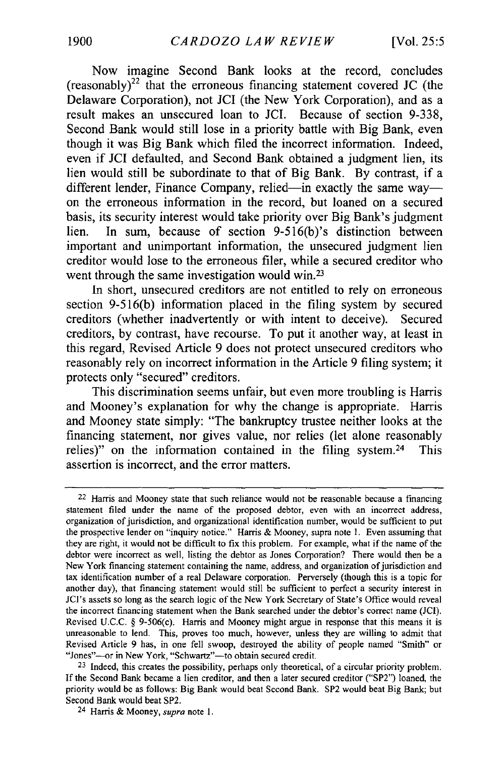Now imagine Second Bank looks at the record, concludes  $(resonably)<sup>22</sup>$  that the erroneous financing statement covered **JC** (the Delaware Corporation), not **JCI** (the New York Corporation), and as a result makes an unsecured loan to **JCI.** Because of section **9-338,** Second Bank would still lose in a priority battle with Big Bank, even though it was Big Bank which filed the incorrect information. Indeed, even if **JCI** defaulted, and Second Bank obtained a judgment lien, its lien would still be subordinate to that of Big Bank. **By** contrast, if a different lender, Finance Company, relied-in exactly the same wayon the erroneous information in the record, but loaned on a secured basis, its security interest would take priority over Big Bank's judgment lien. In sum, because of section 9-516(b)'s distinction between important and unimportant information, the unsecured judgment lien creditor would lose to the erroneous filer, while a secured creditor who went through the same investigation would win.<sup>23</sup>

In short, unsecured creditors are not entitled to rely on erroneous section **9-516(b)** information placed in the filing system **by** secured creditors (whether inadvertently or with intent to deceive). Secured creditors, **by** contrast, have recourse. To put it another way, at least in this regard, Revised Article **9** does not protect unsecured creditors who reasonably rely on incorrect information in the Article **9** filing system; it protects only "secured" creditors.

This discrimination seems unfair, but even more troubling is Harris and Mooney's explanation for why the change is appropriate. Harris and Mooney state simply: "The bankruptcy trustee neither looks at the financing statement, nor gives value, nor relies (let alone reasonably relies)" on the information contained in the filing system.<sup>24</sup> This assertion is incorrect, and the error matters.

<sup>22</sup> Harris and Mooney state that such reliance would not be reasonable because a financing statement filed under the name of the proposed debtor, even with an incorrect address, organization of jurisdiction, and organizational identification number, would be sufficient to put the prospective lender on "inquiry notice." Harris **&** Mooney, supra note **1.** Even assuming that they are right, it would not be difficult to fix this problem. For example, what if the name of the debtor were incorrect as well, listing the debtor as Jones Corporation? There would then be a New York financing statement containing the name, address, and organization of jurisdiction and **tax** identification number of a real Delaware corporation. Perversely (though this is a topic for another day), that financing statement would still **be** sufficient to perfect a security interest in JCI's assets so long as the search logic of the New York Secretary of State's Office would reveal the incorrect financing statement when the Bank searched under the debtor's correct name **(JCI).** Revised **U.C.C. §** 9-506(c). **Harris** and Mooney might argue in response that this means it is unreasonable to lend. This, proves too much, however, unless they are willing to admit that Revised Article **9** has, in one fell swoop, destroyed the ability of people named "Smith" or "Jones"-or in New York, "Schwartz"-to obtain secured credit.

**<sup>23</sup>**Indeed, this creates the possibility, perhaps only theoretical, of a circular priority problem. **If** the Second Bank became a lien creditor, and then a later secured creditor **("SP2")** loaned, the priority would **be** as follows: Big Bank would beat Second Bank. **SP2** would beat Big Bank; but Second Bank would beat **SP2.**

<sup>24</sup> Harris **&** Mooney, *supra* note **1.**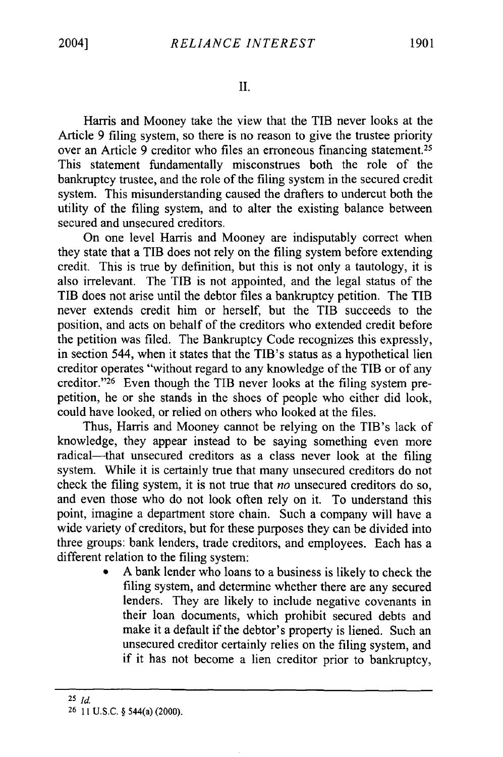II.

Harris and Mooney take the view that the TIB never looks at the Article 9 filing system, so there is no reason to give the trustee priority over an Article 9 creditor who files an erroneous financing statement.<sup>25</sup> This statement fundamentally misconstrues both the role of the bankruptcy trustee, and the role of the filing system in the secured credit system. This misunderstanding caused the drafters to undercut both the utility of the filing system, and to alter the existing balance between secured and unsecured creditors.

On one level Harris and Mooney are indisputably correct when they state that a TIB does not rely on the filing system before extending credit. This is true by definition, but this is not only a tautology, it is also irrelevant. The TIB is not appointed, and the legal status of the TIB does not arise until the debtor files a bankruptcy petition. The TIB never extends credit him or herself, but the TIB succeeds to the position, and acts on behalf of the creditors who extended credit before the petition was filed. The Bankruptcy Code recognizes this expressly, in section 544, when it states that the TIB's status as a hypothetical lien creditor operates "without regard to any knowledge of the TIB or of any creditor."<sup>26</sup> Even though the TIB never looks at the filing system prepetition, he or she stands in the shoes of people who either did look, could have looked, or relied on others who looked at the files.

Thus, Harris and Mooney cannot be relying on the TIB's lack of knowledge, they appear instead to be saying something even more radical—that unsecured creditors as a class never look at the filing system. While it is certainly true that many unsecured creditors do not check the filing system, it is not true that *no* unsecured creditors do so, and even those who do not look often rely on it. To understand this point, imagine a department store chain. Such a company will have a wide variety of creditors, but for these purposes they can be divided into three groups: bank lenders, trade creditors, and employees. Each has a different relation to the filing system:

> **0** A bank lender who loans to a business is likely to check the filing system, and determine whether there are any secured lenders. They are likely to include negative covenants in their loan documents, which prohibit secured debts and make it a default if the debtor's property is liened. Such an unsecured creditor certainly relies on the filing system, and if it has not become a lien creditor prior to bankruptcy,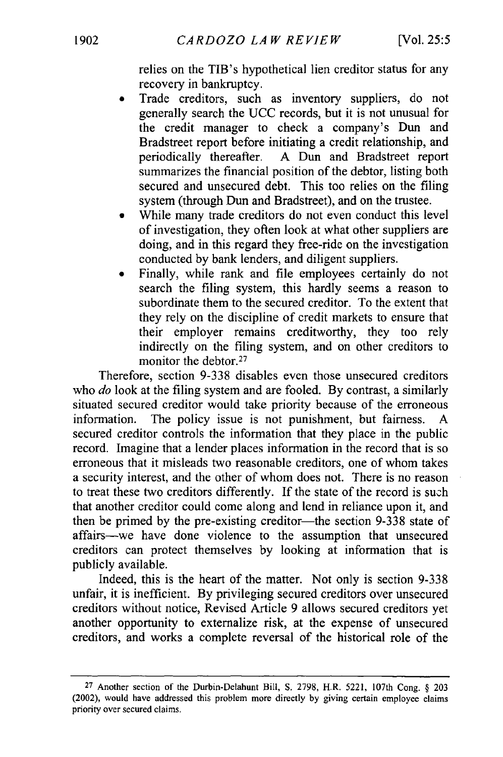relies on the TIB's hypothetical lien creditor status for any recovery in bankruptcy.

- Trade creditors, such as inventory suppliers, do not generally search the UCC records, but it is not unusual for the credit manager to check a company's Dun and Bradstreet report before initiating a credit relationship, and periodically thereafter. A Dun and Bradstreet report summarizes the financial position of the debtor, listing both secured and unsecured debt. This too relies on the filing system (through Dun and Bradstreet), and on the trustee.
- While many trade creditors do not even conduct this level of investigation, they often look at what other suppliers are doing, and in this regard they free-ride on the investigation conducted by bank lenders, and diligent suppliers.
- \* Finally, while rank and file employees certainly do not search the filing system, this hardly seems a reason to subordinate them to the secured creditor. To the extent that they rely on the discipline of credit markets to ensure that their employer remains creditworthy, they too rely indirectly on the filing system, and on other creditors to monitor the debtor.<sup>27</sup>

Therefore, section 9-338 disables even those unsecured creditors who *do* look at the filing system and are fooled. By contrast, a similarly situated secured creditor would take priority because of the erroneous information. The policy issue is not punishment, but fairness. secured creditor controls the information that they place in the public record. Imagine that a lender places information in the record that is so erroneous that it misleads two reasonable creditors, one of whom takes a security interest, and the other of whom does not. There is no reason to treat these two creditors differently. If the state of the record is suoh that another creditor could come along and lend in reliance upon it, and then be primed by the pre-existing creditor—the section 9-338 state of affairs-we have done violence to the assumption that unsecured creditors can protect themselves by looking at information that is publicly available.

Indeed, this is the heart of the matter. Not only is section 9-338 unfair, it is inefficient. By privileging secured creditors over unsecured creditors without notice, Revised Article 9 allows secured creditors yet another opportunity to externalize risk, at the expense of unsecured creditors, and works a complete reversal of the historical role of the

<sup>27</sup> Another section of the Durbin-Delahunt Bill, **S.** 2798, H.R. 5221, 107th Cong. § 203 (2002), would have addressed this problem more directly by giving certain employee claims priority over secured claims.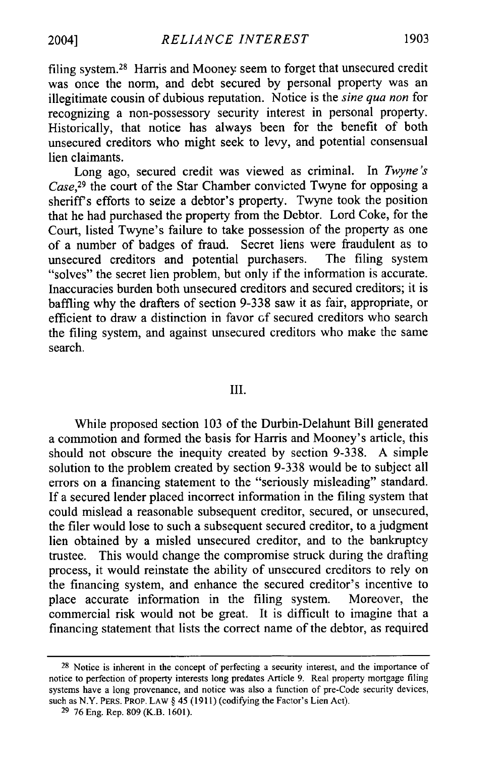filing system. 28 Harris and Mooney seem to forget that unsecured credit was once the norm, and debt secured by personal property was an illegitimate cousin of dubious reputation. Notice is the *sine qua non* for recognizing a non-possessory security interest in personal property. Historically, that notice has always been for the benefit of both unsecured creditors who might seek to levy, and potential consensual lien claimants.

Long ago, secured credit was viewed as criminal. In *Twyne's Case,29* the court of the Star Chamber convicted Twyne for opposing a sheriffs efforts to seize a debtor's property. Twyne took the position that he had purchased the property from the Debtor. Lord Coke, for the Court, listed Twyne's failure to take possession of the property as one of a number of badges of fraud. Secret liens were fraudulent as to unsecured creditors and potential purchasers. The filing system unsecured creditors and potential purchasers. The filing system "solves" the secret lien problem, but only if the information is accurate. Inaccuracies burden both unsecured creditors and secured creditors; it is baffling why the drafters of section 9-338 saw it as fair, appropriate, or efficient to draw a distinction in favor of secured creditors who search the filing system, and against unsecured creditors who make the same search.

#### III.

While proposed section 103 of the Durbin-Delahunt Bill generated a commotion and formed the basis for Harris and Mooney's article, this should not obscure the inequity created by section 9-338. A simple solution to the problem created by section 9-338 would be to subject all errors on a financing statement to the "seriously misleading" standard. If a secured lender placed incorrect information in the filing system that could mislead a reasonable subsequent creditor, secured, or unsecured, the filer would lose to such a subsequent secured creditor, to a judgment lien obtained by a misled unsecured creditor, and to the bankruptcy trustee. This would change the compromise struck during the drafting process, it would reinstate the ability of unsecured creditors to rely on the financing system, and enhance the secured creditor's incentive to place accurate information in the filing system. Moreover, the commercial risk would not be great. It is difficult to imagine that a financing statement that lists the correct name of the debtor, as required

**<sup>28</sup>**Notice is inherent in the concept of perfecting a security interest, and the importance of notice to perfection of property interests long predates Article 9. Real property mortgage filing systems have a long provenance, and notice was also a function of pre-Code security devices, such as N.Y. PERS. PROP. LAW § 45 (1911) (codifying the Factor's Lien Act).

<sup>29 76</sup> Eng. Rep. 809 (K.B. 1601).